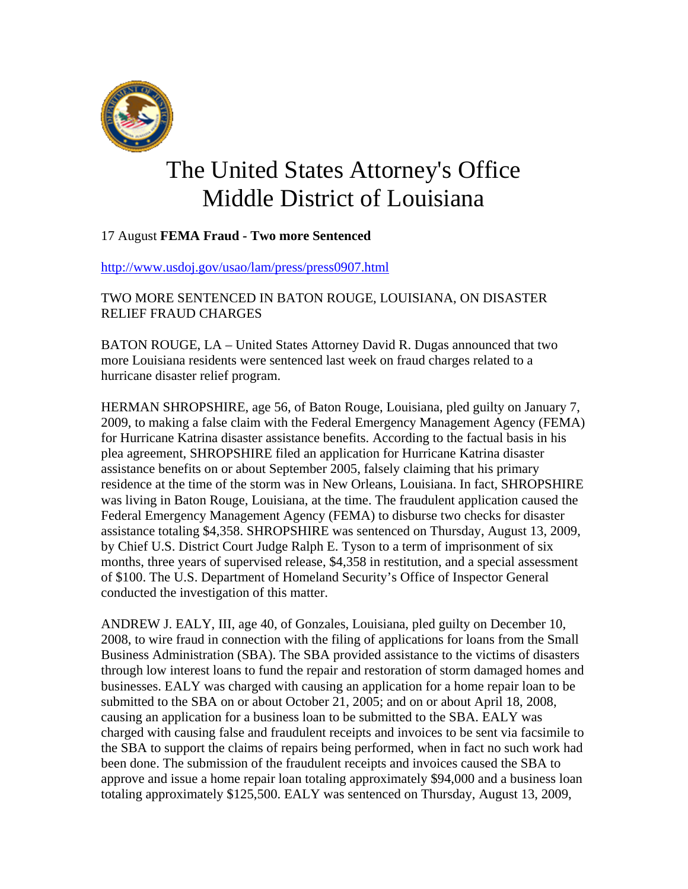

## The United States Attorney's Office Middle District of Louisiana

## 17 August **FEMA Fraud - Two more Sentenced**

<http://www.usdoj.gov/usao/lam/press/press0907.html>

## TWO MORE SENTENCED IN BATON ROUGE, LOUISIANA, ON DISASTER RELIEF FRAUD CHARGES

BATON ROUGE, LA – United States Attorney David R. Dugas announced that two more Louisiana residents were sentenced last week on fraud charges related to a hurricane disaster relief program.

HERMAN SHROPSHIRE, age 56, of Baton Rouge, Louisiana, pled guilty on January 7, 2009, to making a false claim with the Federal Emergency Management Agency (FEMA) for Hurricane Katrina disaster assistance benefits. According to the factual basis in his plea agreement, SHROPSHIRE filed an application for Hurricane Katrina disaster assistance benefits on or about September 2005, falsely claiming that his primary residence at the time of the storm was in New Orleans, Louisiana. In fact, SHROPSHIRE was living in Baton Rouge, Louisiana, at the time. The fraudulent application caused the Federal Emergency Management Agency (FEMA) to disburse two checks for disaster assistance totaling \$4,358. SHROPSHIRE was sentenced on Thursday, August 13, 2009, by Chief U.S. District Court Judge Ralph E. Tyson to a term of imprisonment of six months, three years of supervised release, \$4,358 in restitution, and a special assessment of \$100. The U.S. Department of Homeland Security's Office of Inspector General conducted the investigation of this matter.

ANDREW J. EALY, III, age 40, of Gonzales, Louisiana, pled guilty on December 10, 2008, to wire fraud in connection with the filing of applications for loans from the Small Business Administration (SBA). The SBA provided assistance to the victims of disasters through low interest loans to fund the repair and restoration of storm damaged homes and businesses. EALY was charged with causing an application for a home repair loan to be submitted to the SBA on or about October 21, 2005; and on or about April 18, 2008, causing an application for a business loan to be submitted to the SBA. EALY was charged with causing false and fraudulent receipts and invoices to be sent via facsimile to the SBA to support the claims of repairs being performed, when in fact no such work had been done. The submission of the fraudulent receipts and invoices caused the SBA to approve and issue a home repair loan totaling approximately \$94,000 and a business loan totaling approximately \$125,500. EALY was sentenced on Thursday, August 13, 2009,